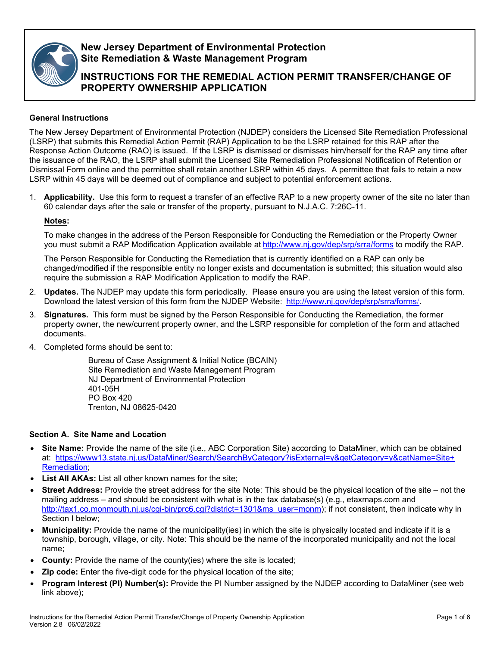

## **New Jersey Department of Environmental Protection Site Remediation & Waste Management Program**

# **INSTRUCTIONS FOR THE REMEDIAL ACTION PERMIT TRANSFER/CHANGE OF PROPERTY OWNERSHIP APPLICATION**

#### **General Instructions**

The New Jersey Department of Environmental Protection (NJDEP) considers the Licensed Site Remediation Professional (LSRP) that submits this Remedial Action Permit (RAP) Application to be the LSRP retained for this RAP after the Response Action Outcome (RAO) is issued. If the LSRP is dismissed or dismisses him/herself for the RAP any time after the issuance of the RAO, the LSRP shall submit the Licensed Site Remediation Professional Notification of Retention or Dismissal Form online and the permittee shall retain another LSRP within 45 days. A permittee that fails to retain a new LSRP within 45 days will be deemed out of compliance and subject to potential enforcement actions.

1. **Applicability.** Use this form to request a transfer of an effective RAP to a new property owner of the site no later than 60 calendar days after the sale or transfer of the property, pursuant to N.J.A.C. 7:26C-11.

#### **Notes:**

To make changes in the address of the Person Responsible for Conducting the Remediation or the Property Owner you must submit a RAP Modification Application available at <http://www.nj.gov/dep/srp/srra/forms> to modify the RAP.

The Person Responsible for Conducting the Remediation that is currently identified on a RAP can only be changed/modified if the responsible entity no longer exists and documentation is submitted; this situation would also require the submission a RAP Modification Application to modify the RAP.

- 2. **Updates.** The NJDEP may update this form periodically. Please ensure you are using the latest version of this form. Download the latest version of this form from the NJDEP Website: [http://www.nj.gov/dep/srp/srra/forms](http://www.nj.gov/dep/srp/srra/forms/)[/](http://www.nj.gov/dep/srp/srra/forms/).
- 3. **Signatures.** This form must be signed by the Person Responsible for Conducting the Remediation, the former property owner, the new/current property owner, and the LSRP responsible for completion of the form and attached documents.
- 4. Completed forms should be sent to:

Bureau of Case Assignment & Initial Notice (BCAIN) Site Remediation and Waste Management Program NJ Department of Environmental Protection 401-05H PO Box 420 Trenton, NJ 08625-0420

#### **Section A. Site Name and Location**

- **Site Name:** Provide the name of the site (i.e., ABC Corporation Site) according to DataMiner, which can be obtained at: [https://www13.state.nj.us/DataMiner/Search/SearchByCategory?isExternal=y&getCategory=y&catName=Site+](https://www13.state.nj.us/DataMiner/Search/SearchByCategory?isExternal=y&getCategory=y&catName=Site+Remediation) [Remediation;](https://www13.state.nj.us/DataMiner/Search/SearchByCategory?isExternal=y&getCategory=y&catName=Site+Remediation)
- **List All AKAs:** List all other known names for the site:
- **Street Address:** Provide the street address for the site Note: This should be the physical location of the site not the mailing address – and should be consistent with what is in the tax database(s) (e.g., etaxmaps.com and [http://tax1.co.monmouth.nj.us/cgi-bin/prc6.cgi?district=1301&ms\\_user=monm\)](http://tax1.co.monmouth.nj.us/cgi-bin/prc6.cgi?district=1301&ms_user=monm); if not consistent, then indicate why in Section I below;
- **Municipality:** Provide the name of the municipality(ies) in which the site is physically located and indicate if it is a township, borough, village, or city. Note: This should be the name of the incorporated municipality and not the local name;
- **County:** Provide the name of the county(ies) where the site is located;
- **Zip code:** Enter the five-digit code for the physical location of the site;
- **Program Interest (PI) Number(s):** Provide the PI Number assigned by the NJDEP according to DataMiner (see web link above);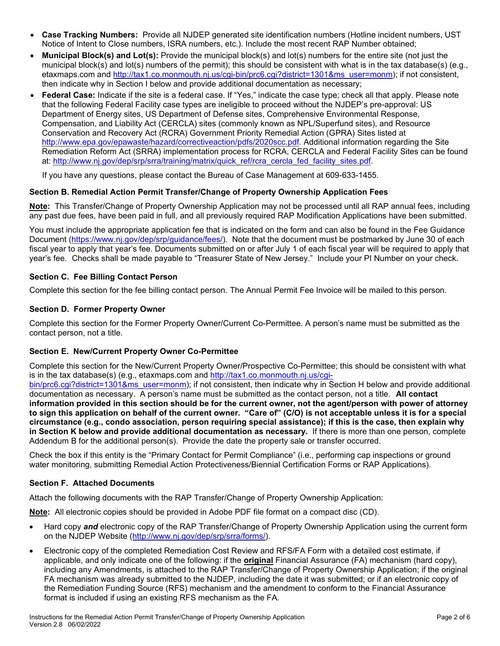- **Case Tracking Numbers:** Provide all NJDEP generated site identification numbers (Hotline incident numbers, UST Notice of Intent to Close numbers, ISRA numbers, etc.). Include the most recent RAP Number obtained;
- **Municipal Block(s) and Lot(s):** Provide the municipal block(s) and lot(s) numbers for the entire site (not just the municipal block(s) and lot(s) numbers of the permit); this should be consistent with what is in the tax database(s) (e.g., etaxmaps.com and [http://tax1.co.monmouth.nj.us/cgi-bin/prc6.cgi?district=1301&ms\\_user=monm\)](http://tax1.co.monmouth.nj.us/cgi-bin/prc6.cgi?district=1301&ms_user=monm); if not consistent, then indicate why in Section I below and provide additional documentation as necessary;
- **Federal Case:** Indicate if the site is a federal case. If "Yes," indicate the case type; check all that apply. Please note that the following Federal Facility case types are ineligible to proceed without the NJDEP's pre-approval: US Department of Energy sites, US Department of Defense sites, Comprehensive Environmental Response, Compensation, and Liability Act (CERCLA) sites (commonly known as NPL/Superfund sites), and Resource Conservation and Recovery Act (RCRA) Government Priority Remedial Action (GPRA) Sites listed at [http://www.epa.gov/epawaste/hazard/correctiveaction/pdfs/2020scc.pdf.](http://www.epa.gov/epawaste/hazard/correctiveaction/pdfs/2020scc.pdf) Additional information regarding the Site Remediation Reform Act (SRRA) implementation process for RCRA, CERCLA and Federal Facility Sites can be found at: [http://www.nj.gov/dep/srp/srra/training/matrix/quick\\_ref/rcra\\_cercla\\_fed\\_facility\\_sites.pdf.](http://www.nj.gov/dep/srp/srra/training/matrix/quick_ref/rcra_cercla_fed_facility_sites.pdf)

If you have any questions, please contact the Bureau of Case Management at 609-633-1455.

## **Section B. Remedial Action Permit Transfer/Change of Property Ownership Application Fees**

**Note:** This Transfer/Change of Property Ownership Application may not be processed until all RAP annual fees, including any past due fees, have been paid in full, and all previously required RAP Modification Applications have been submitted.

You must include the appropriate application fee that is indicated on the form and can also be found in the Fee Guidance Document [\(https://www.nj.gov/dep/srp/guidance/fees/\)](https://www.nj.gov/dep/srp/guidance/fees/). Note that the document must be postmarked by June 30 of each fiscal year to apply that year's fee. Documents submitted on or after July 1 of each fiscal year will be required to apply that year's fee. Checks shall be made payable to "Treasurer State of New Jersey." Include your PI Number on your check.

## **Section C. Fee Billing Contact Person**

Complete this section for the fee billing contact person. The Annual Permit Fee Invoice will be mailed to this person.

#### **Section D. Former Property Owner**

Complete this section for the Former Property Owner/Current Co-Permittee. A person's name must be submitted as the contact person, not a title.

#### **Section E. New/Current Property Owner Co-Permittee**

Complete this section for the New/Current Property Owner/Prospective Co-Permittee; this should be consistent with what is in the tax database(s) (e.g., etaxmaps.com and [http://tax1.co.monmouth.nj.us/cgi-](http://tax1.co.monmouth.nj.us/cgi-bin/prc6.cgi?district=1301&ms_user=monm)

[bin/prc6.cgi?district=1301&ms\\_user=monm\)](http://tax1.co.monmouth.nj.us/cgi-bin/prc6.cgi?district=1301&ms_user=monm); if not consistent, then indicate why in Section H below and provide additional documentation as necessary. A person's name must be submitted as the contact person, not a title. **All contact information provided in this section should be for the current owner, not the agent/person with power of attorney to sign this application on behalf of the current owner. "Care of" (C/O) is not acceptable unless it is for a special circumstance (e.g., condo association, person requiring special assistance); if this is the case, then explain why in Section K below and provide additional documentation as necessary.** If there is more than one person, complete Addendum B for the additional person(s). Provide the date the property sale or transfer occurred.

Check the box if this entity is the "Primary Contact for Permit Compliance" (i.e., performing cap inspections or ground water monitoring, submitting Remedial Action Protectiveness/Biennial Certification Forms or RAP Applications).

#### **Section F. Attached Documents**

Attach the following documents with the RAP Transfer/Change of Property Ownership Application:

**Note:** All electronic copies should be provided in Adobe PDF file format on a compact disc (CD).

- Hard copy *and* electronic copy of the RAP Transfer/Change of Property Ownership Application using the current form on the NJDEP Website [\(http://www.nj.gov/dep/srp/srra/forms/\)](http://www.nj.gov/dep/srp/srra/forms/).
- Electronic copy of the completed Remediation Cost Review and RFS/FA Form with a detailed cost estimate, if applicable, and only indicate one of the following: if the **original** Financial Assurance (FA) mechanism (hard copy), including any Amendments, is attached to the RAP Transfer/Change of Property Ownership Application; if the original FA mechanism was already submitted to the NJDEP, including the date it was submitted; or if an electronic copy of the Remediation Funding Source (RFS) mechanism and the amendment to conform to the Financial Assurance format is included if using an existing RFS mechanism as the FA.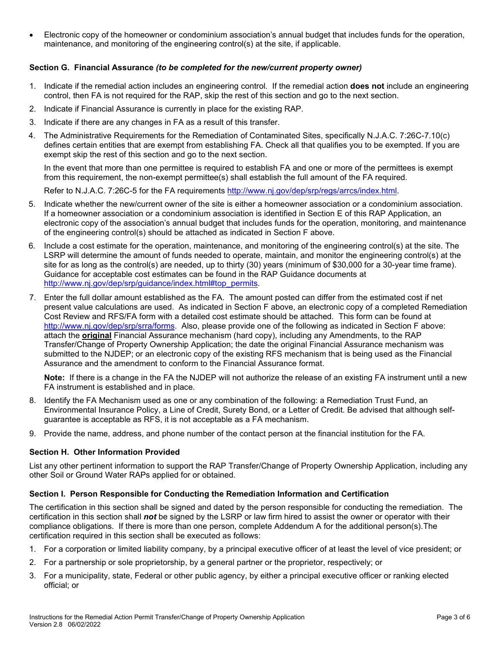• Electronic copy of the homeowner or condominium association's annual budget that includes funds for the operation, maintenance, and monitoring of the engineering control(s) at the site, if applicable.

#### **Section G. Financial Assurance** *(to be completed for the new/current property owner)*

- 1. Indicate if the remedial action includes an engineering control. If the remedial action **does not** include an engineering control, then FA is not required for the RAP, skip the rest of this section and go to the next section.
- 2. Indicate if Financial Assurance is currently in place for the existing RAP.
- 3. Indicate if there are any changes in FA as a result of this transfer.
- 4. The Administrative Requirements for the Remediation of Contaminated Sites, specifically N.J.A.C. 7:26C-7.10(c) defines certain entities that are exempt from establishing FA. Check all that qualifies you to be exempted. If you are exempt skip the rest of this section and go to the next section.

In the event that more than one permittee is required to establish FA and one or more of the permittees is exempt from this requirement, the non-exempt permittee(s) shall establish the full amount of the FA required.

Refer to N.J.A.C. 7:26C-5 for the FA requirements [http://www.nj.gov/dep/srp/regs/arrcs/index.html.](http://www.nj.gov/dep/srp/regs/arrcs/index.html)

- 5. Indicate whether the new/current owner of the site is either a homeowner association or a condominium association. If a homeowner association or a condominium association is identified in Section E of this RAP Application, an electronic copy of the association's annual budget that includes funds for the operation, monitoring, and maintenance of the engineering control(s) should be attached as indicated in Section F above.
- 6. Include a cost estimate for the operation, maintenance, and monitoring of the engineering control(s) at the site. The LSRP will determine the amount of funds needed to operate, maintain, and monitor the engineering control(s) at the site for as long as the control(s) are needed, up to thirty (30) years (minimum of \$30,000 for a 30-year time frame). Guidance for acceptable cost estimates can be found in the RAP Guidance documents at [http://www.nj.gov/dep/srp/guidance/index.html#top](http://www.nj.gov/dep/srp/guidance/index.html#top_permits)**\_**permits.
- 7. Enter the full dollar amount established as the FA. The amount posted can differ from the estimated cost if net present value calculations are used. As indicated in Section F above, an electronic copy of a completed Remediation Cost Review and RFS/FA form with a detailed cost estimate should be attached. This form can be found at [http://www.nj.gov/dep/srp/srra/forms.](http://www.nj.gov/dep/srp/srra/forms) Also, please provide one of the following as indicated in Section F above: attach the **original** Financial Assurance mechanism (hard copy), including any Amendments, to the RAP Transfer/Change of Property Ownership Application; the date the original Financial Assurance mechanism was submitted to the NJDEP; or an electronic copy of the existing RFS mechanism that is being used as the Financial Assurance and the amendment to conform to the Financial Assurance format.

**Note:** If there is a change in the FA the NJDEP will not authorize the release of an existing FA instrument until a new FA instrument is established and in place.

- 8. Identify the FA Mechanism used as one or any combination of the following: a Remediation Trust Fund, an Environmental Insurance Policy, a Line of Credit, Surety Bond, or a Letter of Credit. Be advised that although selfguarantee is acceptable as RFS, it is not acceptable as a FA mechanism.
- 9. Provide the name, address, and phone number of the contact person at the financial institution for the FA.

#### **Section H. Other Information Provided**

List any other pertinent information to support the RAP Transfer/Change of Property Ownership Application, including any other Soil or Ground Water RAPs applied for or obtained.

#### **Section I. Person Responsible for Conducting the Remediation Information and Certification**

The certification in this section shall be signed and dated by the person responsible for conducting the remediation. The certification in this section shall *not* be signed by the LSRP or law firm hired to assist the owner or operator with their compliance obligations. If there is more than one person, complete Addendum A for the additional person(s).The certification required in this section shall be executed as follows:

- 1. For a corporation or limited liability company, by a principal executive officer of at least the level of vice president; or
- 2. For a partnership or sole proprietorship, by a general partner or the proprietor, respectively; or
- 3. For a municipality, state, Federal or other public agency, by either a principal executive officer or ranking elected official; or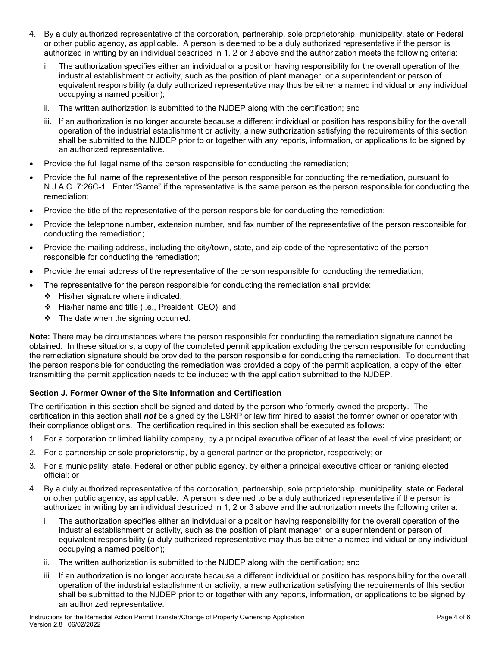- 4. By a duly authorized representative of the corporation, partnership, sole proprietorship, municipality, state or Federal or other public agency, as applicable. A person is deemed to be a duly authorized representative if the person is authorized in writing by an individual described in 1, 2 or 3 above and the authorization meets the following criteria:
	- i. The authorization specifies either an individual or a position having responsibility for the overall operation of the industrial establishment or activity, such as the position of plant manager, or a superintendent or person of equivalent responsibility (a duly authorized representative may thus be either a named individual or any individual occupying a named position);
	- ii. The written authorization is submitted to the NJDEP along with the certification; and
	- iii. If an authorization is no longer accurate because a different individual or position has responsibility for the overall operation of the industrial establishment or activity, a new authorization satisfying the requirements of this section shall be submitted to the NJDEP prior to or together with any reports, information, or applications to be signed by an authorized representative.
- Provide the full legal name of the person responsible for conducting the remediation;
- Provide the full name of the representative of the person responsible for conducting the remediation, pursuant to N.J.A.C. 7:26C-1. Enter "Same" if the representative is the same person as the person responsible for conducting the remediation;
- Provide the title of the representative of the person responsible for conducting the remediation;
- Provide the telephone number, extension number, and fax number of the representative of the person responsible for conducting the remediation;
- Provide the mailing address, including the city/town, state, and zip code of the representative of the person responsible for conducting the remediation;
- Provide the email address of the representative of the person responsible for conducting the remediation;
- The representative for the person responsible for conducting the remediation shall provide:
	- $\div$  His/her signature where indicated;
	- His/her name and title (i.e., President, CEO); and
	- $\div$  The date when the signing occurred.

**Note:** There may be circumstances where the person responsible for conducting the remediation signature cannot be obtained. In these situations, a copy of the completed permit application excluding the person responsible for conducting the remediation signature should be provided to the person responsible for conducting the remediation. To document that the person responsible for conducting the remediation was provided a copy of the permit application, a copy of the letter transmitting the permit application needs to be included with the application submitted to the NJDEP.

#### **Section J. Former Owner of the Site Information and Certification**

The certification in this section shall be signed and dated by the person who formerly owned the property. The certification in this section shall *not* be signed by the LSRP or law firm hired to assist the former owner or operator with their compliance obligations. The certification required in this section shall be executed as follows:

- 1. For a corporation or limited liability company, by a principal executive officer of at least the level of vice president; or
- 2. For a partnership or sole proprietorship, by a general partner or the proprietor, respectively; or
- 3. For a municipality, state, Federal or other public agency, by either a principal executive officer or ranking elected official; or
- 4. By a duly authorized representative of the corporation, partnership, sole proprietorship, municipality, state or Federal or other public agency, as applicable. A person is deemed to be a duly authorized representative if the person is authorized in writing by an individual described in 1, 2 or 3 above and the authorization meets the following criteria:
	- i. The authorization specifies either an individual or a position having responsibility for the overall operation of the industrial establishment or activity, such as the position of plant manager, or a superintendent or person of equivalent responsibility (a duly authorized representative may thus be either a named individual or any individual occupying a named position);
	- ii. The written authorization is submitted to the NJDEP along with the certification; and
	- iii. If an authorization is no longer accurate because a different individual or position has responsibility for the overall operation of the industrial establishment or activity, a new authorization satisfying the requirements of this section shall be submitted to the NJDEP prior to or together with any reports, information, or applications to be signed by an authorized representative.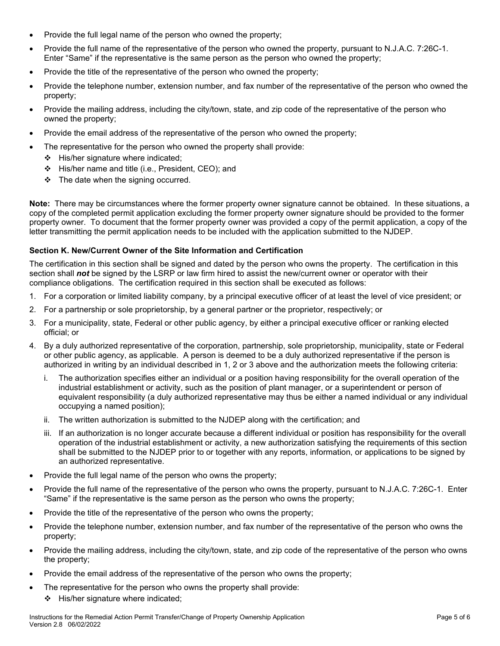- Provide the full legal name of the person who owned the property;
- Provide the full name of the representative of the person who owned the property, pursuant to N.J.A.C. 7:26C-1. Enter "Same" if the representative is the same person as the person who owned the property;
- Provide the title of the representative of the person who owned the property;
- Provide the telephone number, extension number, and fax number of the representative of the person who owned the property;
- Provide the mailing address, including the city/town, state, and zip code of the representative of the person who owned the property;
- Provide the email address of the representative of the person who owned the property;
- The representative for the person who owned the property shall provide:
	- $\div$  His/her signature where indicated;
	- $\div$  His/her name and title (i.e., President, CEO); and
	- $\div$  The date when the signing occurred.

**Note:** There may be circumstances where the former property owner signature cannot be obtained. In these situations, a copy of the completed permit application excluding the former property owner signature should be provided to the former property owner. To document that the former property owner was provided a copy of the permit application, a copy of the letter transmitting the permit application needs to be included with the application submitted to the NJDEP.

#### **Section K. New/Current Owner of the Site Information and Certification**

The certification in this section shall be signed and dated by the person who owns the property. The certification in this section shall *not* be signed by the LSRP or law firm hired to assist the new/current owner or operator with their compliance obligations. The certification required in this section shall be executed as follows:

- 1. For a corporation or limited liability company, by a principal executive officer of at least the level of vice president; or
- 2. For a partnership or sole proprietorship, by a general partner or the proprietor, respectively; or
- 3. For a municipality, state, Federal or other public agency, by either a principal executive officer or ranking elected official; or
- 4. By a duly authorized representative of the corporation, partnership, sole proprietorship, municipality, state or Federal or other public agency, as applicable. A person is deemed to be a duly authorized representative if the person is authorized in writing by an individual described in 1, 2 or 3 above and the authorization meets the following criteria:
	- i. The authorization specifies either an individual or a position having responsibility for the overall operation of the industrial establishment or activity, such as the position of plant manager, or a superintendent or person of equivalent responsibility (a duly authorized representative may thus be either a named individual or any individual occupying a named position);
	- ii. The written authorization is submitted to the NJDEP along with the certification; and
	- iii. If an authorization is no longer accurate because a different individual or position has responsibility for the overall operation of the industrial establishment or activity, a new authorization satisfying the requirements of this section shall be submitted to the NJDEP prior to or together with any reports, information, or applications to be signed by an authorized representative.
- Provide the full legal name of the person who owns the property;
- Provide the full name of the representative of the person who owns the property, pursuant to N.J.A.C. 7:26C-1. Enter "Same" if the representative is the same person as the person who owns the property;
- Provide the title of the representative of the person who owns the property;
- Provide the telephone number, extension number, and fax number of the representative of the person who owns the property;
- Provide the mailing address, including the city/town, state, and zip code of the representative of the person who owns the property;
- Provide the email address of the representative of the person who owns the property;
- The representative for the person who owns the property shall provide:
	- $\div$  His/her signature where indicated: